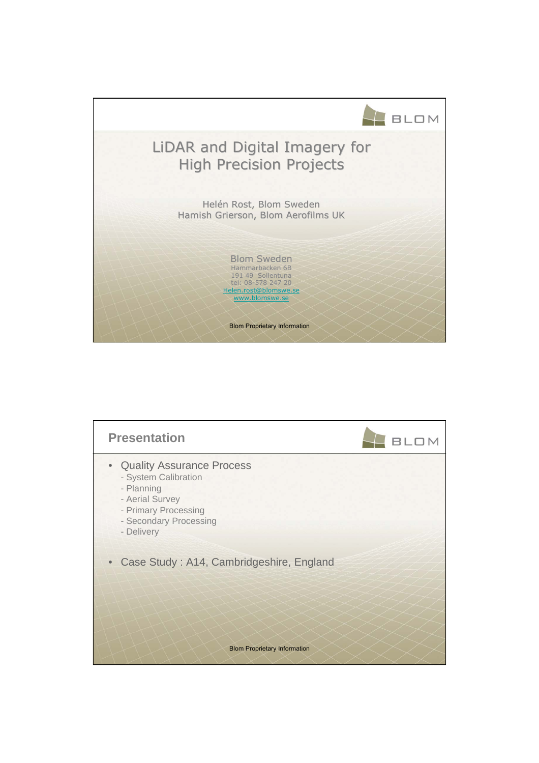

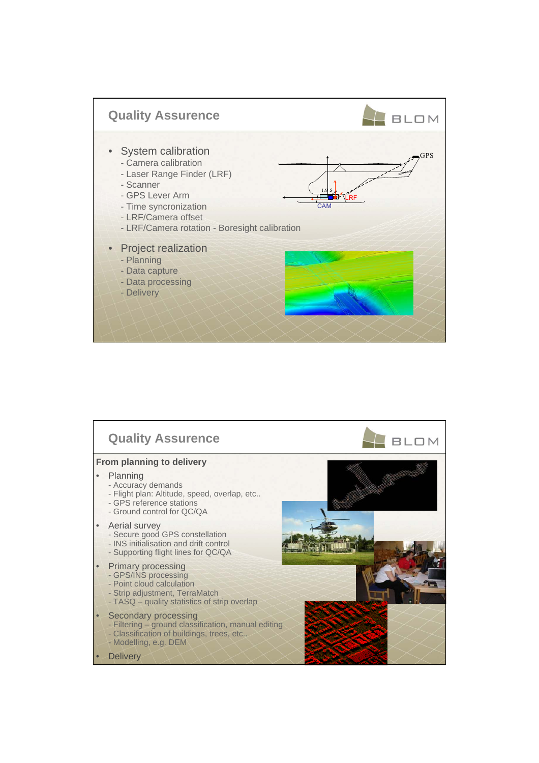

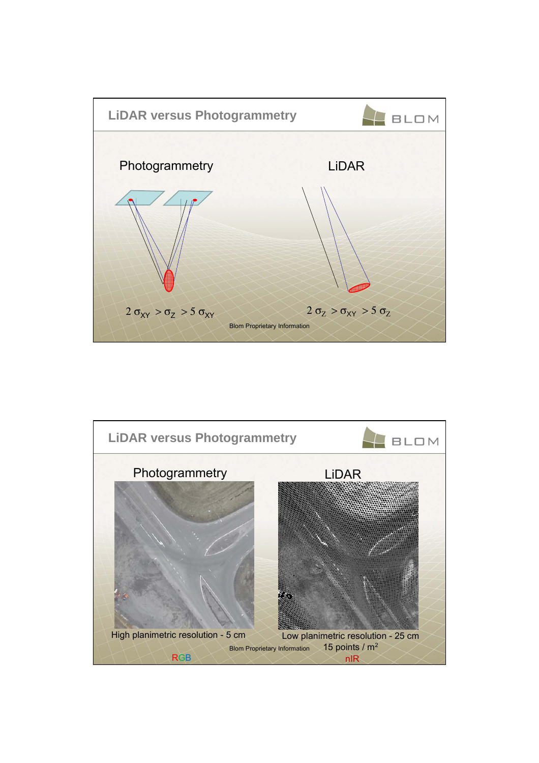

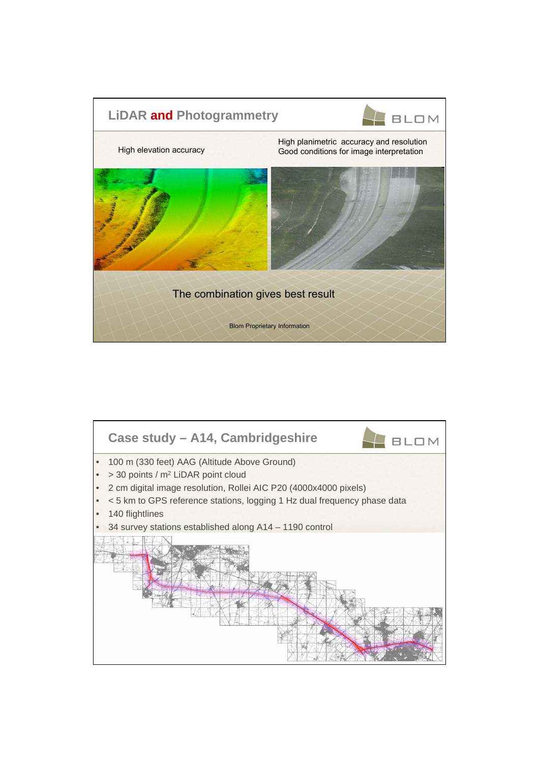

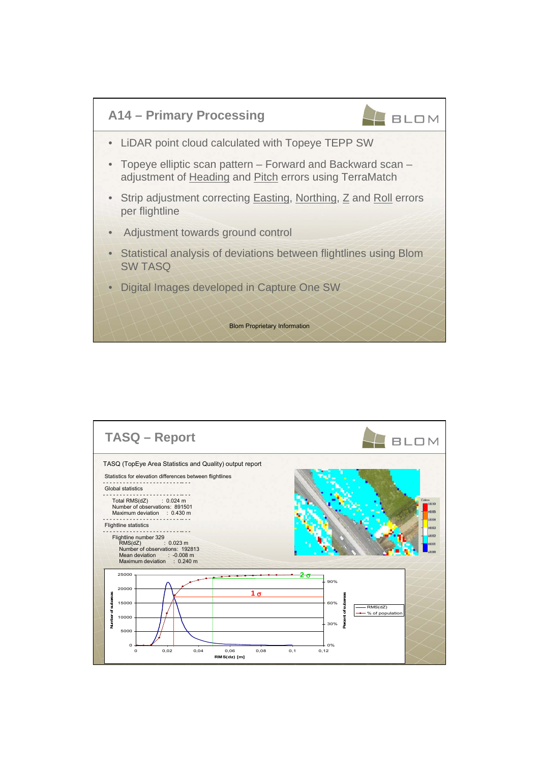

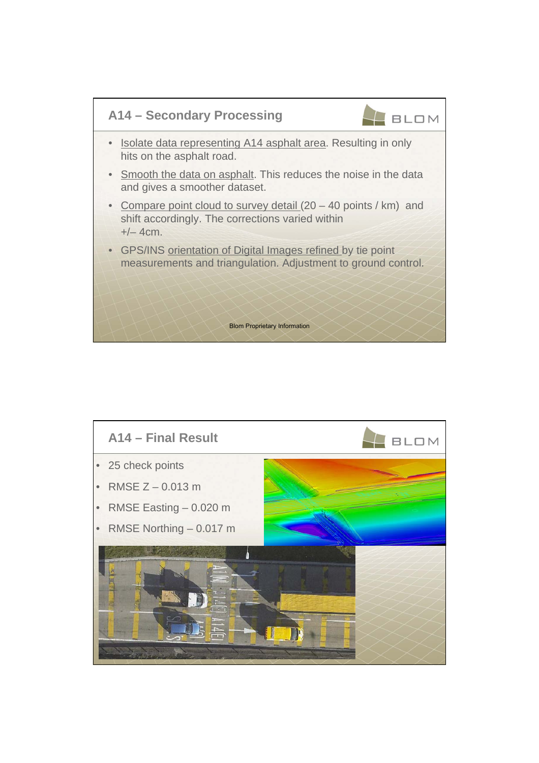